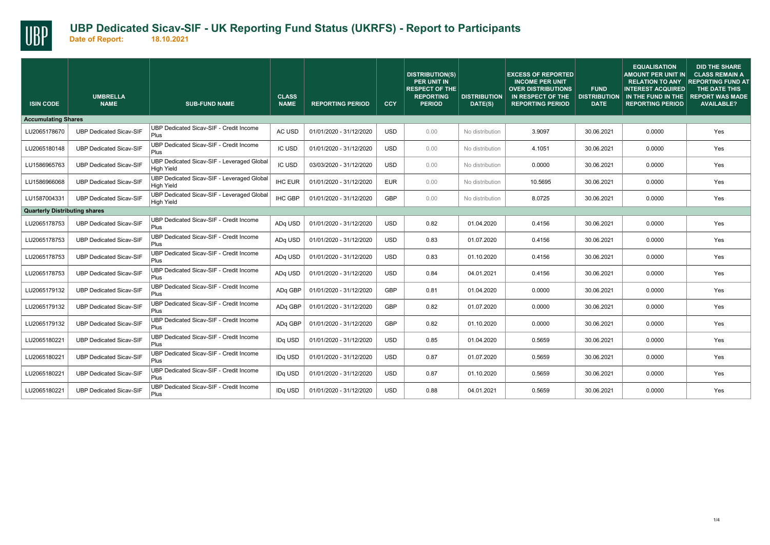

| <b>ISIN CODE</b>                     | <b>UMBRELLA</b><br><b>NAME</b> | <b>SUB-FUND NAME</b>                                            | <b>CLASS</b><br><b>NAME</b> | <b>REPORTING PERIOD</b> | CCY        | <b>DISTRIBUTION(S)</b><br><b>PER UNIT IN</b><br><b>RESPECT OF THE</b><br><b>REPORTING</b><br><b>PERIOD</b> | <b>DISTRIBUTION</b><br>DATE(S) | <b>EXCESS OF REPORTED</b><br><b>INCOME PER UNIT</b><br><b>OVER DISTRIBUTIONS</b><br>IN RESPECT OF THE<br><b>REPORTING PERIOD</b> | <b>FUND</b><br><b>DISTRIBUTION</b><br><b>DATE</b> | <b>EQUALISATION</b><br>AMOUNT PER UNIT IN<br><b>RELATION TO ANY</b><br><b>INTEREST ACQUIRED</b><br>IN THE FUND IN THE<br><b>REPORTING PERIOD</b> | <b>DID THE SHARE</b><br><b>CLASS REMAIN A</b><br><b>REPORTING FUND AT</b><br>THE DATE THIS<br><b>REPORT WAS MADE</b><br><b>AVAILABLE?</b> |
|--------------------------------------|--------------------------------|-----------------------------------------------------------------|-----------------------------|-------------------------|------------|------------------------------------------------------------------------------------------------------------|--------------------------------|----------------------------------------------------------------------------------------------------------------------------------|---------------------------------------------------|--------------------------------------------------------------------------------------------------------------------------------------------------|-------------------------------------------------------------------------------------------------------------------------------------------|
| <b>Accumulating Shares</b>           |                                |                                                                 |                             |                         |            |                                                                                                            |                                |                                                                                                                                  |                                                   |                                                                                                                                                  |                                                                                                                                           |
| LU2065178670                         | <b>UBP Dedicated Sicav-SIF</b> | UBP Dedicated Sicav-SIF - Credit Income<br>Plus                 | AC USD                      | 01/01/2020 - 31/12/2020 | <b>USD</b> | 0.00                                                                                                       | No distribution                | 3.9097                                                                                                                           | 30.06.2021                                        | 0.0000                                                                                                                                           | Yes                                                                                                                                       |
| LU2065180148                         | <b>UBP Dedicated Sicav-SIF</b> | UBP Dedicated Sicav-SIF - Credit Income<br>Plus                 | IC USD                      | 01/01/2020 - 31/12/2020 | <b>USD</b> | 0.00                                                                                                       | No distribution                | 4.1051                                                                                                                           | 30.06.2021                                        | 0.0000                                                                                                                                           | Yes                                                                                                                                       |
| LU1586965763                         | <b>UBP Dedicated Sicav-SIF</b> | UBP Dedicated Sicav-SIF - Leveraged Global<br>High Yield        | <b>IC USD</b>               | 03/03/2020 - 31/12/2020 | <b>USD</b> | 0.00                                                                                                       | No distribution                | 0.0000                                                                                                                           | 30.06.2021                                        | 0.0000                                                                                                                                           | Yes                                                                                                                                       |
| LU1586966068                         | <b>UBP Dedicated Sicav-SIF</b> | UBP Dedicated Sicav-SIF - Leveraged Global<br><b>High Yield</b> | <b>IHC EUR</b>              | 01/01/2020 - 31/12/2020 | <b>EUR</b> | 0.00                                                                                                       | No distribution                | 10.5695                                                                                                                          | 30.06.2021                                        | 0.0000                                                                                                                                           | Yes                                                                                                                                       |
| LU1587004331                         | <b>UBP Dedicated Sicav-SIF</b> | UBP Dedicated Sicav-SIF - Leveraged Global<br><b>High Yield</b> | <b>IHC GBP</b>              | 01/01/2020 - 31/12/2020 | GBP        | 0.00                                                                                                       | No distribution                | 8.0725                                                                                                                           | 30.06.2021                                        | 0.0000                                                                                                                                           | Yes                                                                                                                                       |
| <b>Quarterly Distributing shares</b> |                                |                                                                 |                             |                         |            |                                                                                                            |                                |                                                                                                                                  |                                                   |                                                                                                                                                  |                                                                                                                                           |
| LU2065178753                         | <b>UBP Dedicated Sicav-SIF</b> | UBP Dedicated Sicav-SIF - Credit Income<br>Plus                 | AD <sub>a</sub> USD         | 01/01/2020 - 31/12/2020 | <b>USD</b> | 0.82                                                                                                       | 01.04.2020                     | 0.4156                                                                                                                           | 30.06.2021                                        | 0.0000                                                                                                                                           | Yes                                                                                                                                       |
| LU2065178753                         | <b>UBP Dedicated Sicav-SIF</b> | UBP Dedicated Sicav-SIF - Credit Income<br>Plus                 | ADq USD                     | 01/01/2020 - 31/12/2020 | <b>USD</b> | 0.83                                                                                                       | 01.07.2020                     | 0.4156                                                                                                                           | 30.06.2021                                        | 0.0000                                                                                                                                           | Yes                                                                                                                                       |
| LU2065178753                         | <b>UBP Dedicated Sicav-SIF</b> | UBP Dedicated Sicav-SIF - Credit Income<br>Plus                 | ADq USD                     | 01/01/2020 - 31/12/2020 | <b>USD</b> | 0.83                                                                                                       | 01.10.2020                     | 0.4156                                                                                                                           | 30.06.2021                                        | 0.0000                                                                                                                                           | Yes                                                                                                                                       |
| LU2065178753                         | <b>UBP Dedicated Sicav-SIF</b> | UBP Dedicated Sicav-SIF - Credit Income<br>Plus                 | ADq USD                     | 01/01/2020 - 31/12/2020 | <b>USD</b> | 0.84                                                                                                       | 04.01.2021                     | 0.4156                                                                                                                           | 30.06.2021                                        | 0.0000                                                                                                                                           | Yes                                                                                                                                       |
| LU2065179132                         | <b>UBP Dedicated Sicav-SIF</b> | UBP Dedicated Sicav-SIF - Credit Income<br>Plus                 | ADq GBP                     | 01/01/2020 - 31/12/2020 | GBP        | 0.81                                                                                                       | 01.04.2020                     | 0.0000                                                                                                                           | 30.06.2021                                        | 0.0000                                                                                                                                           | Yes                                                                                                                                       |
| LU2065179132                         | <b>UBP Dedicated Sicav-SIF</b> | UBP Dedicated Sicav-SIF - Credit Income<br>Plus                 | ADq GBP                     | 01/01/2020 - 31/12/2020 | GBP        | 0.82                                                                                                       | 01.07.2020                     | 0.0000                                                                                                                           | 30.06.2021                                        | 0.0000                                                                                                                                           | Yes                                                                                                                                       |
| LU2065179132                         | <b>UBP Dedicated Sicav-SIF</b> | UBP Dedicated Sicav-SIF - Credit Income<br>Plus                 | ADq GBP                     | 01/01/2020 - 31/12/2020 | GBP        | 0.82                                                                                                       | 01.10.2020                     | 0.0000                                                                                                                           | 30.06.2021                                        | 0.0000                                                                                                                                           | Yes                                                                                                                                       |
| LU2065180221                         | <b>UBP Dedicated Sicav-SIF</b> | UBP Dedicated Sicav-SIF - Credit Income<br>Plus                 | IDq USD                     | 01/01/2020 - 31/12/2020 | <b>USD</b> | 0.85                                                                                                       | 01.04.2020                     | 0.5659                                                                                                                           | 30.06.2021                                        | 0.0000                                                                                                                                           | Yes                                                                                                                                       |
| LU2065180221                         | <b>UBP Dedicated Sicav-SIF</b> | UBP Dedicated Sicav-SIF - Credit Income<br>Plus                 | IDq USD                     | 01/01/2020 - 31/12/2020 | <b>USD</b> | 0.87                                                                                                       | 01.07.2020                     | 0.5659                                                                                                                           | 30.06.2021                                        | 0.0000                                                                                                                                           | Yes                                                                                                                                       |
| LU2065180221                         | <b>UBP Dedicated Sicav-SIF</b> | UBP Dedicated Sicav-SIF - Credit Income<br>Plus                 | IDq USD                     | 01/01/2020 - 31/12/2020 | <b>USD</b> | 0.87                                                                                                       | 01.10.2020                     | 0.5659                                                                                                                           | 30.06.2021                                        | 0.0000                                                                                                                                           | Yes                                                                                                                                       |
| LU2065180221                         | <b>UBP Dedicated Sicav-SIF</b> | UBP Dedicated Sicav-SIF - Credit Income<br>Plus                 | IDq USD                     | 01/01/2020 - 31/12/2020 | <b>USD</b> | 0.88                                                                                                       | 04.01.2021                     | 0.5659                                                                                                                           | 30.06.2021                                        | 0.0000                                                                                                                                           | Yes                                                                                                                                       |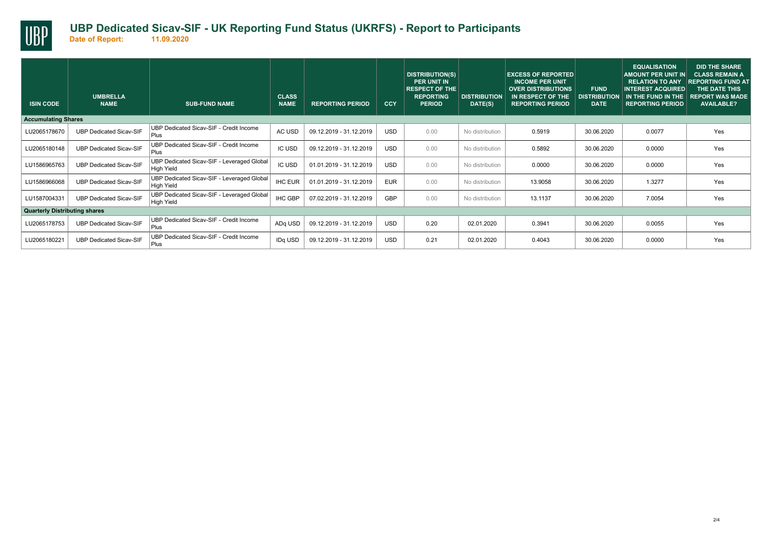

| <b>ISIN CODE</b>                     | <b>UMBRELLA</b><br><b>NAME</b> | <b>SUB-FUND NAME</b>                                            | <b>CLASS</b><br><b>NAME</b> | <b>REPORTING PERIOD</b> | CCY        | <b>DISTRIBUTION(S)</b><br><b>PER UNIT IN</b><br><b>RESPECT OF THE</b><br><b>REPORTING</b><br><b>PERIOD</b> | <b>DISTRIBUTION</b><br>DATE(S) | <b>EXCESS OF REPORTED</b><br><b>INCOME PER UNIT</b><br><b>OVER DISTRIBUTIONS</b><br>IN RESPECT OF THE<br><b>REPORTING PERIOD</b> | <b>FUND</b><br><b>DISTRIBUTION</b><br><b>DATE</b> | <b>EQUALISATION</b><br><b>AMOUNT PER UNIT IN</b><br><b>RELATION TO ANY</b><br><b>INTEREST ACQUIRED.</b><br>IN THE FUND IN THE<br><b>REPORTING PERIOD</b> | <b>DID THE SHARE</b><br><b>CLASS REMAIN A</b><br><b>REPORTING FUND AT</b><br>THE DATE THIS<br><b>REPORT WAS MADE</b><br><b>AVAILABLE?</b> |
|--------------------------------------|--------------------------------|-----------------------------------------------------------------|-----------------------------|-------------------------|------------|------------------------------------------------------------------------------------------------------------|--------------------------------|----------------------------------------------------------------------------------------------------------------------------------|---------------------------------------------------|----------------------------------------------------------------------------------------------------------------------------------------------------------|-------------------------------------------------------------------------------------------------------------------------------------------|
| <b>Accumulating Shares</b>           |                                |                                                                 |                             |                         |            |                                                                                                            |                                |                                                                                                                                  |                                                   |                                                                                                                                                          |                                                                                                                                           |
| LU2065178670                         | <b>UBP Dedicated Sicav-SIF</b> | UBP Dedicated Sicav-SIF - Credit Income<br>Plus                 | AC USD                      | 09.12.2019 - 31.12.2019 | <b>USD</b> | 0.00                                                                                                       | No distribution                | 0.5919                                                                                                                           | 30.06.2020                                        | 0.0077                                                                                                                                                   | Yes                                                                                                                                       |
| LU2065180148                         | <b>UBP Dedicated Sicav-SIF</b> | UBP Dedicated Sicav-SIF - Credit Income<br>Plus                 | <b>IC USD</b>               | 09.12.2019 - 31.12.2019 | <b>USD</b> | 0.00                                                                                                       | No distribution                | 0.5892                                                                                                                           | 30.06.2020                                        | 0.0000                                                                                                                                                   | Yes                                                                                                                                       |
| LU1586965763                         | <b>UBP Dedicated Sicav-SIF</b> | UBP Dedicated Sicav-SIF - Leveraged Global<br><b>High Yield</b> | <b>IC USD</b>               | 01.01.2019 - 31.12.2019 | <b>USD</b> | 0.00                                                                                                       | No distribution                | 0.0000                                                                                                                           | 30.06.2020                                        | 0.0000                                                                                                                                                   | Yes                                                                                                                                       |
| LU1586966068                         | <b>UBP Dedicated Sicav-SIF</b> | UBP Dedicated Sicav-SIF - Leveraged Global<br><b>High Yield</b> | <b>IHC EUR</b>              | 01.01.2019 - 31.12.2019 | <b>EUR</b> | 0.00                                                                                                       | No distribution                | 13.9058                                                                                                                          | 30.06.2020                                        | 1.3277                                                                                                                                                   | Yes                                                                                                                                       |
| LU1587004331                         | <b>UBP Dedicated Sicav-SIF</b> | UBP Dedicated Sicav-SIF - Leveraged Global<br>High Yield        | <b>IHC GBP</b>              | 07.02.2019 - 31.12.2019 | GBP        | 0.00                                                                                                       | No distribution                | 13.1137                                                                                                                          | 30.06.2020                                        | 7.0054                                                                                                                                                   | Yes                                                                                                                                       |
| <b>Quarterly Distributing shares</b> |                                |                                                                 |                             |                         |            |                                                                                                            |                                |                                                                                                                                  |                                                   |                                                                                                                                                          |                                                                                                                                           |
| LU2065178753                         | <b>UBP Dedicated Sicav-SIF</b> | UBP Dedicated Sicav-SIF - Credit Income<br>Plus                 | ADq USD                     | 09.12.2019 - 31.12.2019 | <b>USD</b> | 0.20                                                                                                       | 02.01.2020                     | 0.3941                                                                                                                           | 30.06.2020                                        | 0.0055                                                                                                                                                   | Yes                                                                                                                                       |
| LU2065180221                         | <b>UBP Dedicated Sicav-SIF</b> | UBP Dedicated Sicav-SIF - Credit Income<br>Plus                 | IDq USD                     | 09.12.2019 - 31.12.2019 | <b>USD</b> | 0.21                                                                                                       | 02.01.2020                     | 0.4043                                                                                                                           | 30.06.2020                                        | 0.0000                                                                                                                                                   | Yes                                                                                                                                       |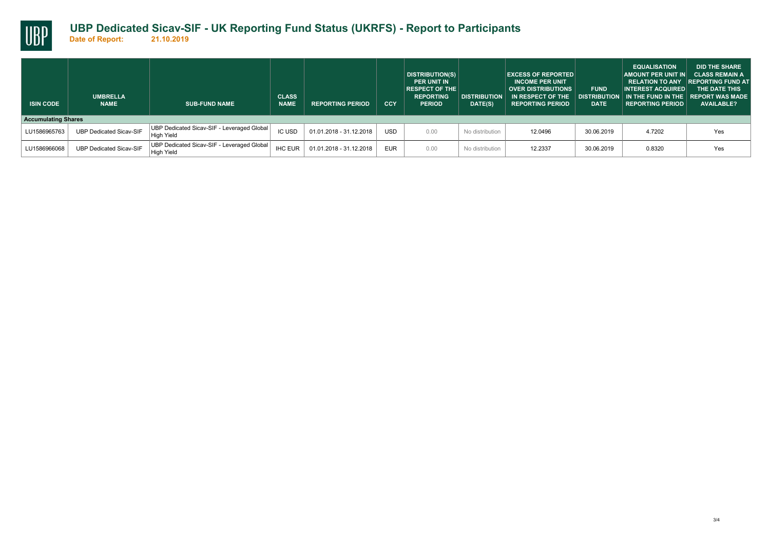

## **UBP Dedicated Sicav-SIF - UK Reporting Fund Status (UKRFS) - Report to Participants**

| <b>ISIN CODE</b> | <b>UMBRELLA</b><br><b>NAME</b> | <b>SUB-FUND NAME</b>                                     | <b>CLASS</b><br><b>NAME</b> | <b>REPORTING PERIOD</b> | <b>CCY</b> | DISTRIBUTION(S)<br><b>PER UNIT IN</b><br><b>RESPECT OF THE</b><br><b>REPORTING</b><br><b>PERIOD</b> | <b>DISTRIBUTION</b><br>DATE(S) | <b>EXCESS OF REPORTED</b><br><b>INCOME PER UNIT</b><br><b>OVER DISTRIBUTIONS</b><br>IN RESPECT OF THE<br><b>REPORTING PERIOD</b> | <b>FUND</b><br><b>DATE</b> | <b>EQUALISATION</b><br><b>AMOUNT PER UNIT IN</b><br><b>RELATION TO ANY</b><br><b>INTEREST ACQUIRED</b><br>DISTRIBUTION IN THE FUND IN THE I REPORT WAS MADE<br><b>REPORTING PERIOD</b> | <b>DID THE SHARE</b><br><b>CLASS REMAIN A</b><br><b>REPORTING FUND AT</b><br>THE DATE THIS<br><b>AVAILABLE?</b> |
|------------------|--------------------------------|----------------------------------------------------------|-----------------------------|-------------------------|------------|-----------------------------------------------------------------------------------------------------|--------------------------------|----------------------------------------------------------------------------------------------------------------------------------|----------------------------|----------------------------------------------------------------------------------------------------------------------------------------------------------------------------------------|-----------------------------------------------------------------------------------------------------------------|
|                  | <b>Accumulating Shares</b>     |                                                          |                             |                         |            |                                                                                                     |                                |                                                                                                                                  |                            |                                                                                                                                                                                        |                                                                                                                 |
| LU1586965763     | <b>UBP Dedicated Sicav-SIF</b> | UBP Dedicated Sicav-SIF - Leveraged Global<br>High Yield | <b>IC USD</b>               | 01.01.2018 - 31.12.2018 | <b>USD</b> | 0.00                                                                                                | No distribution                | 12.0496                                                                                                                          | 30.06.2019                 | 4.7202                                                                                                                                                                                 | Yes                                                                                                             |
| LU1586966068     | <b>UBP Dedicated Sicav-SIF</b> | UBP Dedicated Sicav-SIF - Leveraged Global<br>High Yield | <b>IHC EUR</b>              | 01.01.2018 - 31.12.2018 | <b>EUR</b> | 0.00                                                                                                | No distribution                | 12.2337                                                                                                                          | 30.06.2019                 | 0.8320                                                                                                                                                                                 | Yes                                                                                                             |